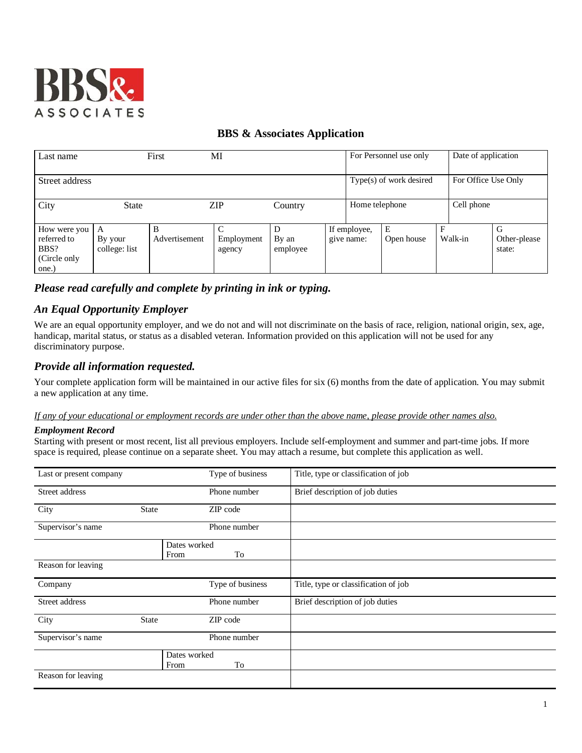

# **BBS & Associates Application**

| Last name                                                    |                               | First              | MI                        |                   |                            | For Personnel use only  |            | Date of application |                             |
|--------------------------------------------------------------|-------------------------------|--------------------|---------------------------|-------------------|----------------------------|-------------------------|------------|---------------------|-----------------------------|
| Street address                                               |                               |                    |                           |                   |                            | Type(s) of work desired |            | For Office Use Only |                             |
| City                                                         | <b>State</b>                  |                    | ZIP                       | Country           | Home telephone             |                         | Cell phone |                     |                             |
| How were you<br>referred to<br>BBS?<br>(Circle only<br>one.) | A<br>By your<br>college: list | B<br>Advertisement | C<br>Employment<br>agency | By an<br>employee | If employee,<br>give name: | E<br>Open house         | F          | Walk-in             | G<br>Other-please<br>state: |

# *Please read carefully and complete by printing in ink or typing.*

# *An Equal Opportunity Employer*

We are an equal opportunity employer, and we do not and will not discriminate on the basis of race, religion, national origin, sex, age, handicap, marital status, or status as a disabled veteran. Information provided on this application will not be used for any discriminatory purpose.

# *Provide all information requested.*

Your complete application form will be maintained in our active files for six (6) months from the date of application. You may submit a new application at any time.

### *If any of your educational or employment records are under other than the above name, please provide other names also.*

### *Employment Record*

Starting with present or most recent, list all previous employers. Include self-employment and summer and part-time jobs. If more space is required, please continue on a separate sheet. You may attach a resume, but complete this application as well.

| Last or present company |              | Type of business | Title, type or classification of job |
|-------------------------|--------------|------------------|--------------------------------------|
| Street address          |              | Phone number     | Brief description of job duties      |
| City                    | <b>State</b> | ZIP code         |                                      |
| Supervisor's name       |              | Phone number     |                                      |
|                         |              | Dates worked     |                                      |
|                         |              |                  |                                      |
|                         |              | To<br>From       |                                      |
| Reason for leaving      |              |                  |                                      |
| Company                 |              | Type of business | Title, type or classification of job |
| Street address          |              | Phone number     | Brief description of job duties      |
| City                    | <b>State</b> | ZIP code         |                                      |
| Supervisor's name       |              | Phone number     |                                      |
|                         |              | Dates worked     |                                      |
|                         |              |                  |                                      |
|                         |              | To<br>From       |                                      |
| Reason for leaving      |              |                  |                                      |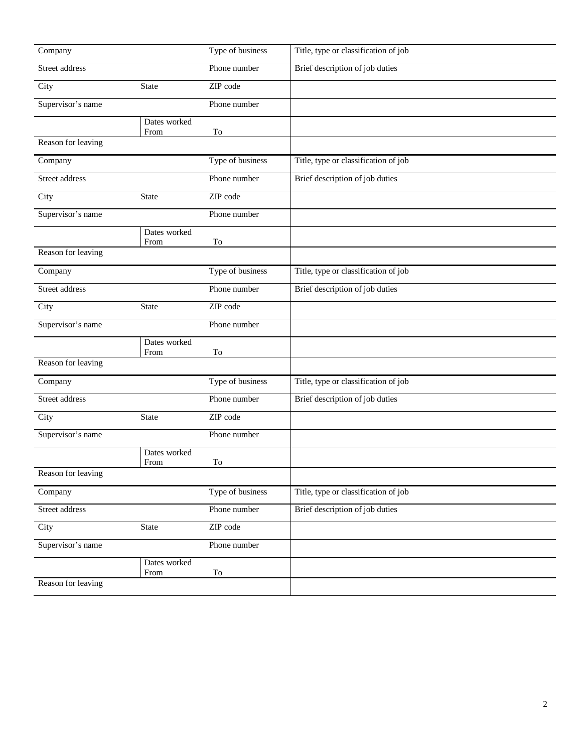| Company            |                      | Type of business | Title, type or classification of job |
|--------------------|----------------------|------------------|--------------------------------------|
| Street address     |                      | Phone number     | Brief description of job duties      |
| City               | State                | ZIP code         |                                      |
| Supervisor's name  |                      | Phone number     |                                      |
|                    | Dates worked<br>From | To               |                                      |
| Reason for leaving |                      |                  |                                      |
| Company            |                      | Type of business | Title, type or classification of job |
| Street address     |                      | Phone number     | Brief description of job duties      |
| City               | State                | ZIP code         |                                      |
| Supervisor's name  |                      | Phone number     |                                      |
|                    | Dates worked<br>From | To               |                                      |
| Reason for leaving |                      |                  |                                      |
| Company            |                      | Type of business | Title, type or classification of job |
| Street address     |                      | Phone number     | Brief description of job duties      |
| City               | <b>State</b>         | ZIP code         |                                      |
| Supervisor's name  |                      | Phone number     |                                      |
|                    | Dates worked<br>From | To               |                                      |
| Reason for leaving |                      |                  |                                      |
| Company            |                      | Type of business | Title, type or classification of job |
| Street address     |                      | Phone number     | Brief description of job duties      |
| City               | State                | ZIP code         |                                      |
| Supervisor's name  |                      | Phone number     |                                      |
|                    | Dates worked<br>From | To               |                                      |
| Reason for leaving |                      |                  |                                      |
| Company            |                      | Type of business | Title, type or classification of job |
| Street address     |                      | Phone number     | Brief description of job duties      |
| City               | State                | ZIP code         |                                      |
| Supervisor's name  |                      | Phone number     |                                      |
|                    | Dates worked<br>From | To               |                                      |
| Reason for leaving |                      |                  |                                      |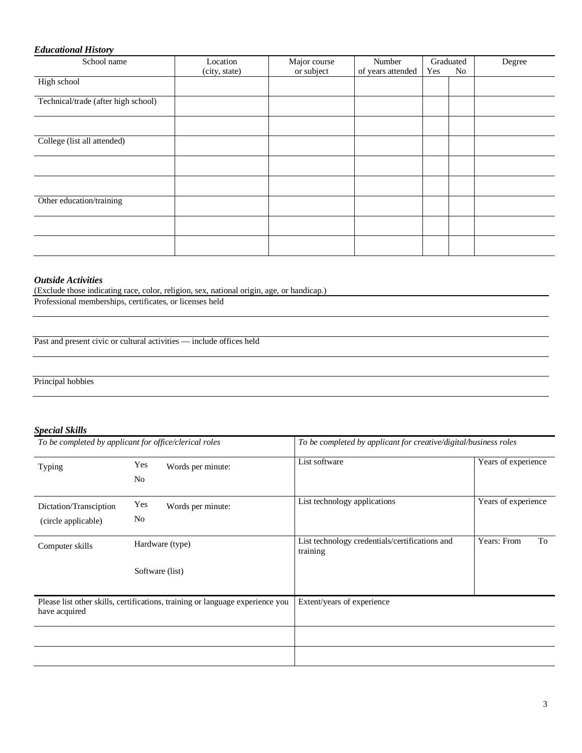## *Educational History*

| School name                         | Location      | Major course | Number            | Graduated |    | Degree |
|-------------------------------------|---------------|--------------|-------------------|-----------|----|--------|
|                                     | (city, state) | or subject   | of years attended | Yes       | No |        |
| High school                         |               |              |                   |           |    |        |
| Technical/trade (after high school) |               |              |                   |           |    |        |
|                                     |               |              |                   |           |    |        |
| College (list all attended)         |               |              |                   |           |    |        |
|                                     |               |              |                   |           |    |        |
|                                     |               |              |                   |           |    |        |
| Other education/training            |               |              |                   |           |    |        |
|                                     |               |              |                   |           |    |        |
|                                     |               |              |                   |           |    |        |

### *Outside Activities*

(Exclude those indicating race, color, religion, sex, national origin, age, or handicap.)

Professional memberships, certificates, or licenses held

Past and present civic or cultural activities — include offices held

Principal hobbies

### *Special Skills*

|                                               | To be completed by applicant for office/clerical roles                        | To be completed by applicant for creative/digital/business roles |                     |  |  |
|-----------------------------------------------|-------------------------------------------------------------------------------|------------------------------------------------------------------|---------------------|--|--|
| Typing                                        | Yes<br>Words per minute:<br>No                                                | List software                                                    | Years of experience |  |  |
| Dictation/Transciption<br>(circle applicable) | Yes<br>Words per minute:<br>No                                                | List technology applications                                     | Years of experience |  |  |
| Computer skills                               | Hardware (type)                                                               | List technology credentials/certifications and<br>training       | Years: From<br>To   |  |  |
|                                               | Software (list)                                                               |                                                                  |                     |  |  |
| have acquired                                 | Please list other skills, certifications, training or language experience you | Extent/years of experience                                       |                     |  |  |
|                                               |                                                                               |                                                                  |                     |  |  |
|                                               |                                                                               |                                                                  |                     |  |  |